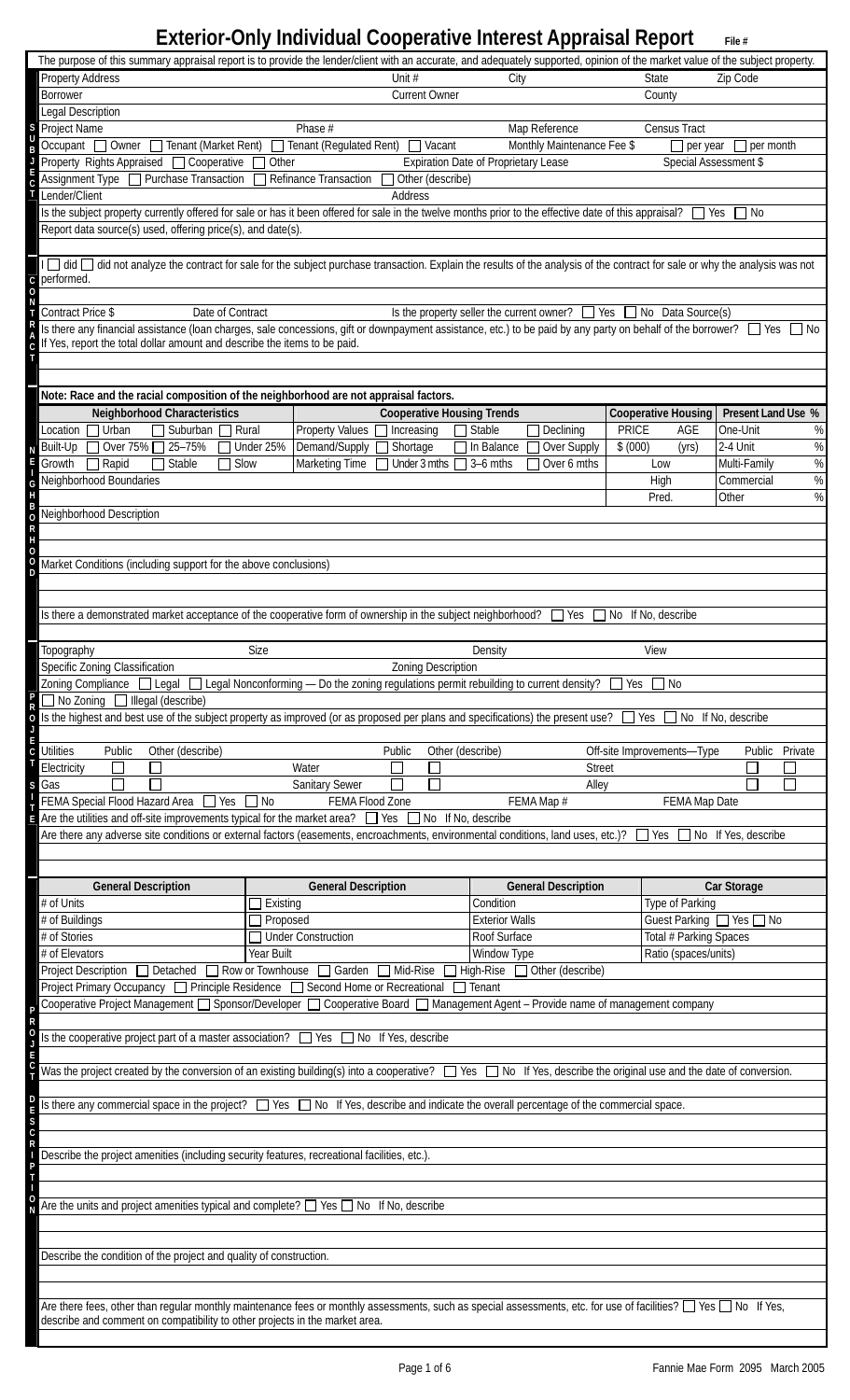# **Exterior-Only Individual Cooperative Interest Appraisal Report File #**

| LAIGHUI-OHIY IHUIVIUUDI COOPGIQIIVG IHIGIGSI APPIQISQI INGPOLI                                                                                                                |                                |                                   |                                             |                            |                                                                           |                                      |         |
|-------------------------------------------------------------------------------------------------------------------------------------------------------------------------------|--------------------------------|-----------------------------------|---------------------------------------------|----------------------------|---------------------------------------------------------------------------|--------------------------------------|---------|
| The purpose of this summary appraisal report is to provide the lender/client with an accurate, and adequately supported, opinion of the market value of the subject property. |                                |                                   |                                             |                            |                                                                           |                                      |         |
| <b>Property Address</b>                                                                                                                                                       |                                | Unit #                            | City                                        |                            | State                                                                     | Zip Code                             |         |
| <b>Borrower</b>                                                                                                                                                               |                                | <b>Current Owner</b>              |                                             |                            | County                                                                    |                                      |         |
| Legal Description                                                                                                                                                             |                                |                                   |                                             |                            |                                                                           |                                      |         |
| S<br>Project Name                                                                                                                                                             | Phase #                        |                                   |                                             | Map Reference              | Census Tract                                                              |                                      |         |
| Occupant<br>Owner<br>Tenant (Market Rent)<br>B                                                                                                                                | Tenant (Regulated Rent)        | Vacant                            |                                             | Monthly Maintenance Fee \$ |                                                                           | per year<br>per month                |         |
| Property Rights Appraised □ Cooperative                                                                                                                                       | Other                          |                                   | <b>Expiration Date of Proprietary Lease</b> |                            |                                                                           | Special Assessment \$                |         |
| Assignment Type □ Purchase Transaction                                                                                                                                        | Refinance Transaction          | Other (describe)                  |                                             |                            |                                                                           |                                      |         |
| Lender/Client                                                                                                                                                                 |                                |                                   |                                             |                            |                                                                           |                                      |         |
|                                                                                                                                                                               |                                | Address                           |                                             |                            |                                                                           |                                      |         |
| Is the subject property currently offered for sale or has it been offered for sale in the twelve months prior to the effective date of this appraisal?                        |                                |                                   |                                             |                            |                                                                           | l No<br>Yes                          |         |
| Report data source(s) used, offering price(s), and date(s).                                                                                                                   |                                |                                   |                                             |                            |                                                                           |                                      |         |
|                                                                                                                                                                               |                                |                                   |                                             |                            |                                                                           |                                      |         |
| I id id id not analyze the contract for sale for the subject purchase transaction. Explain the results of the analysis of the contract for sale or why the analysis was not   |                                |                                   |                                             |                            |                                                                           |                                      |         |
| performed.<br>C                                                                                                                                                               |                                |                                   |                                             |                            |                                                                           |                                      |         |
| 0<br>Ν                                                                                                                                                                        |                                |                                   |                                             |                            |                                                                           |                                      |         |
| Contract Price \$<br>Date of Contract                                                                                                                                         |                                |                                   |                                             |                            | Is the property seller the current owner? □ Yes □ No Data Source(s)       |                                      |         |
| Is there any financial assistance (loan charges, sale concessions, gift or downpayment assistance, etc.) to be paid by any party on behalf of the borrower?                   |                                |                                   |                                             |                            |                                                                           |                                      | □ No    |
| If Yes, report the total dollar amount and describe the items to be paid.                                                                                                     |                                |                                   |                                             |                            |                                                                           |                                      |         |
|                                                                                                                                                                               |                                |                                   |                                             |                            |                                                                           |                                      |         |
|                                                                                                                                                                               |                                |                                   |                                             |                            |                                                                           |                                      |         |
|                                                                                                                                                                               |                                |                                   |                                             |                            |                                                                           |                                      |         |
| Note: Race and the racial composition of the neighborhood are not appraisal factors.                                                                                          |                                |                                   |                                             |                            |                                                                           |                                      |         |
| <b>Neighborhood Characteristics</b>                                                                                                                                           |                                | <b>Cooperative Housing Trends</b> |                                             |                            | <b>Cooperative Housing</b>                                                | Present Land Use %                   |         |
| $\Box$ Urban<br>Location<br>Suburban<br>$\perp$                                                                                                                               | Rural<br>Property Values       | $\Box$ Increasing<br>$\mathsf{L}$ | Stable                                      | Declining                  | <b>PRICE</b><br>AGE                                                       | One-Unit                             | %       |
| □ Over 75% □ 25-75%<br>Built-Up                                                                                                                                               | Under 25%<br>Demand/Supply     | Shortage                          | $\Box$ In Balance                           | Over Supply                | \$ (000)<br>(yrs)                                                         | 2-4 Unit                             | $\%$    |
| $\Box$ Rapid<br>Stable<br>Growth<br>Slow                                                                                                                                      | Marketing Time                 | J Under 3 mths $\Box$ 3-6 mths    |                                             | Over 6 mths                | Low                                                                       | Multi-Family                         | $\%$    |
| Neighborhood Boundaries<br>G                                                                                                                                                  |                                |                                   |                                             |                            | High                                                                      | Commercial                           | $\%$    |
|                                                                                                                                                                               |                                |                                   |                                             |                            | Pred.                                                                     | Other                                | $\%$    |
| B<br>Neighborhood Description<br>0                                                                                                                                            |                                |                                   |                                             |                            |                                                                           |                                      |         |
| R                                                                                                                                                                             |                                |                                   |                                             |                            |                                                                           |                                      |         |
| н                                                                                                                                                                             |                                |                                   |                                             |                            |                                                                           |                                      |         |
| 0                                                                                                                                                                             |                                |                                   |                                             |                            |                                                                           |                                      |         |
| 0<br>Market Conditions (including support for the above conclusions)                                                                                                          |                                |                                   |                                             |                            |                                                                           |                                      |         |
|                                                                                                                                                                               |                                |                                   |                                             |                            |                                                                           |                                      |         |
|                                                                                                                                                                               |                                |                                   |                                             |                            |                                                                           |                                      |         |
| Is there a demonstrated market acceptance of the cooperative form of ownership in the subject neighborhood?                                                                   |                                |                                   |                                             | Yes<br>$\mathbf{I}$        | $\Box$ No If No, describe                                                 |                                      |         |
|                                                                                                                                                                               |                                |                                   |                                             |                            |                                                                           |                                      |         |
| Topography                                                                                                                                                                    | Size                           |                                   | Density                                     |                            | View                                                                      |                                      |         |
| Specific Zoning Classification                                                                                                                                                |                                | <b>Zoning Description</b>         |                                             |                            |                                                                           |                                      |         |
|                                                                                                                                                                               |                                |                                   |                                             |                            |                                                                           |                                      |         |
| Zoning Compliance □ Legal<br>$\Box$ Legal Nonconforming $-$ Do the zoning regulations permit rebuilding to current density?<br>Yes<br>∩ No                                    |                                |                                   |                                             |                            |                                                                           |                                      |         |
|                                                                                                                                                                               |                                |                                   |                                             |                            |                                                                           |                                      |         |
| □ Illegal (describe)<br>No Zoning                                                                                                                                             |                                |                                   |                                             |                            |                                                                           |                                      |         |
| Is the highest and best use of the subject property as improved (or as proposed per plans and specifications) the present use?                                                |                                |                                   |                                             |                            | No<br><b>Yes</b>                                                          | If No, describe                      |         |
|                                                                                                                                                                               |                                |                                   |                                             |                            |                                                                           |                                      |         |
| R<br>0<br>E.<br><b>Utilities</b><br>Public<br>Other (describe)<br>C                                                                                                           |                                | Public                            | Other (describe)                            |                            | Off-site Improvements-Type                                                | Public                               | Private |
| Electricity<br>L                                                                                                                                                              | Water                          |                                   |                                             | <b>Street</b>              |                                                                           |                                      |         |
| Gas                                                                                                                                                                           | <b>Sanitary Sewer</b>          | H.                                |                                             | Alley                      |                                                                           |                                      |         |
| FEMA Special Flood Hazard Area □ Yes                                                                                                                                          | $\sqcap$ No<br>FEMA Flood Zone |                                   | FEMA Map #                                  |                            |                                                                           | FEMA Map Date                        |         |
| S                                                                                                                                                                             |                                |                                   |                                             |                            |                                                                           |                                      |         |
| Are the utilities and off-site improvements typical for the market area? $\Box$ Yes $\Box$ No If No, describe                                                                 |                                |                                   |                                             |                            |                                                                           |                                      |         |
| Are there any adverse site conditions or external factors (easements, encroachments, environmental conditions, land uses, etc.)?                                              |                                |                                   |                                             |                            | $\Box$ Yes                                                                | $\Box$ No If Yes, describe           |         |
|                                                                                                                                                                               |                                |                                   |                                             |                            |                                                                           |                                      |         |
|                                                                                                                                                                               |                                |                                   |                                             |                            |                                                                           |                                      |         |
| <b>General Description</b>                                                                                                                                                    | <b>General Description</b>     |                                   |                                             | <b>General Description</b> |                                                                           | Car Storage                          |         |
| # of Units                                                                                                                                                                    | Existing                       |                                   | Condition                                   |                            | Type of Parking                                                           |                                      |         |
| # of Buildings                                                                                                                                                                | Proposed                       |                                   | <b>Exterior Walls</b>                       |                            |                                                                           | Guest Parking TYes<br>$\sqsupset$ No |         |
| # of Stories                                                                                                                                                                  | <b>Under Construction</b>      |                                   | Roof Surface                                |                            |                                                                           | Total # Parking Spaces               |         |
| $#$ of Elevators                                                                                                                                                              | Year Built                     |                                   | Window Type                                 |                            | Ratio (spaces/units)                                                      |                                      |         |
| Project Description<br>Detached                                                                                                                                               | Row or Townhouse<br>Garden     | Mid-Rise                          | □ High-Rise                                 | Other (describe)           |                                                                           |                                      |         |
|                                                                                                                                                                               |                                |                                   |                                             |                            |                                                                           |                                      |         |
| Project Primary Occupancy □ Principle Residence                                                                                                                               | Second Home or Recreational    |                                   | Tenant                                      |                            |                                                                           |                                      |         |
| Cooperative Project Management □ Sponsor/Developer □                                                                                                                          |                                |                                   |                                             |                            | Cooperative Board □ Management Agent - Provide name of management company |                                      |         |
| R<br>0                                                                                                                                                                        |                                |                                   |                                             |                            |                                                                           |                                      |         |
| Is the cooperative project part of a master association?                                                                                                                      | $\Box$ Yes                     | No If Yes, describe               |                                             |                            |                                                                           |                                      |         |
|                                                                                                                                                                               |                                |                                   |                                             |                            |                                                                           |                                      |         |
| Was the project created by the conversion of an existing building(s) into a cooperative? $\Box$ Yes $\Box$ No If Yes, describe the original use and the date of conversion.   |                                |                                   |                                             |                            |                                                                           |                                      |         |
|                                                                                                                                                                               |                                |                                   |                                             |                            |                                                                           |                                      |         |
| Is there any commercial space in the project? $\Box$ Yes $\Box$ No If Yes, describe and indicate the overall percentage of the commercial space.                              |                                |                                   |                                             |                            |                                                                           |                                      |         |
|                                                                                                                                                                               |                                |                                   |                                             |                            |                                                                           |                                      |         |
|                                                                                                                                                                               |                                |                                   |                                             |                            |                                                                           |                                      |         |
|                                                                                                                                                                               |                                |                                   |                                             |                            |                                                                           |                                      |         |
| Describe the project amenities (including security features, recreational facilities, etc.).                                                                                  |                                |                                   |                                             |                            |                                                                           |                                      |         |
|                                                                                                                                                                               |                                |                                   |                                             |                            |                                                                           |                                      |         |
|                                                                                                                                                                               |                                |                                   |                                             |                            |                                                                           |                                      |         |
| Are the units and project amenities typical and complete? [ ] Yes [ ] No If No, describe                                                                                      |                                |                                   |                                             |                            |                                                                           |                                      |         |
| D<br>S<br>C<br>R<br>ი                                                                                                                                                         |                                |                                   |                                             |                            |                                                                           |                                      |         |
|                                                                                                                                                                               |                                |                                   |                                             |                            |                                                                           |                                      |         |
| Describe the condition of the project and quality of construction.                                                                                                            |                                |                                   |                                             |                            |                                                                           |                                      |         |
|                                                                                                                                                                               |                                |                                   |                                             |                            |                                                                           |                                      |         |
|                                                                                                                                                                               |                                |                                   |                                             |                            |                                                                           |                                      |         |
| Are there fees, other than regular monthly maintenance fees or monthly assessments, such as special assessments, etc. for use of facilities? [ Yes   No If Yes,               |                                |                                   |                                             |                            |                                                                           |                                      |         |
| describe and comment on compatibility to other projects in the market area.                                                                                                   |                                |                                   |                                             |                            |                                                                           |                                      |         |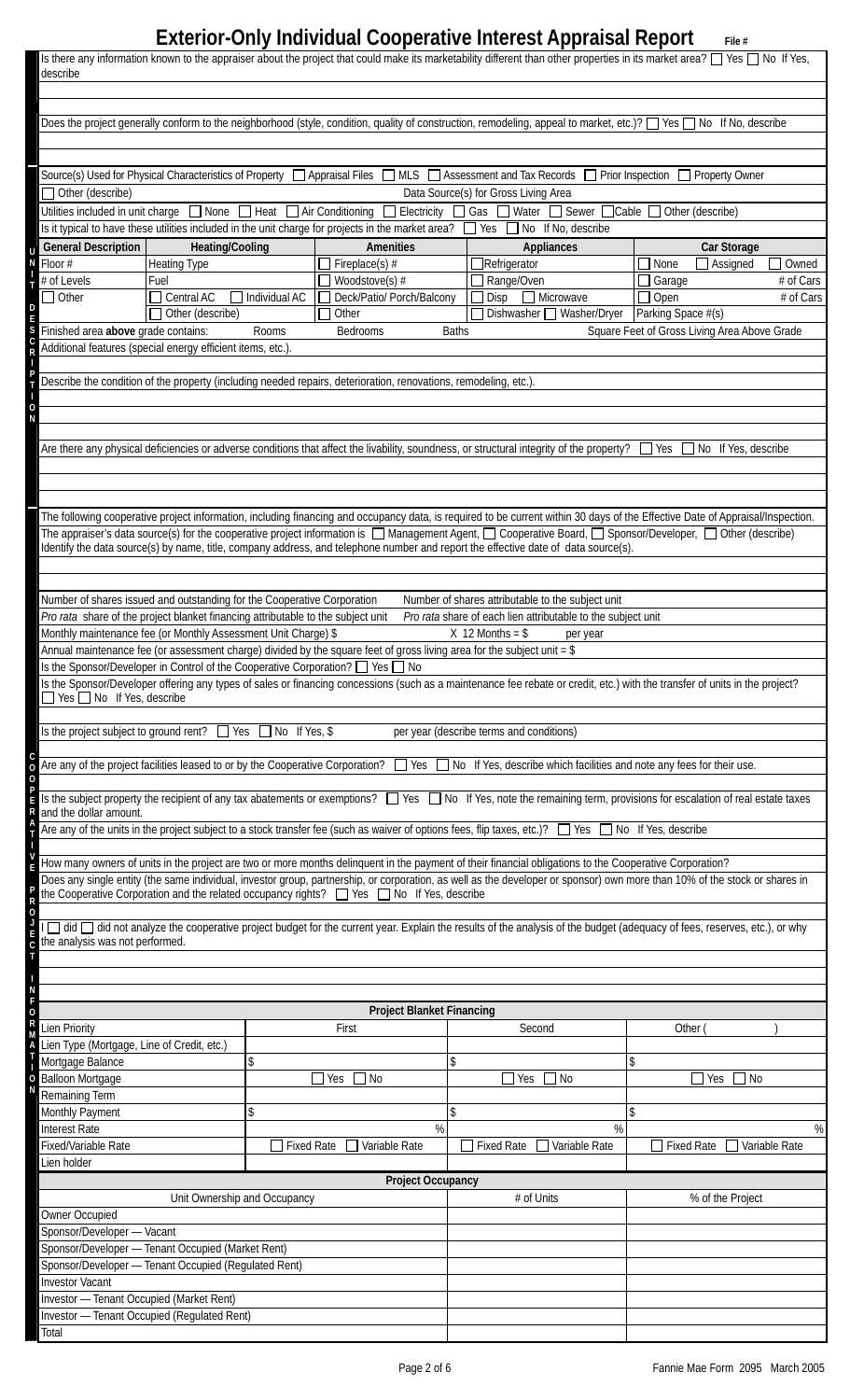# **Exterior-Only Individual Cooperative Interest Appraisal Report File #**

| EANTIOL OHIY IHUN NUUT OOOPUTUN OHIN OSTAPPI UISU INGPORT<br>гііс#<br>Is there any information known to the appraiser about the project that could make its marketability different than other properties in its market area? $\Box$ Yes $\Box$ No If Yes,<br>describe  |                                                                                                                                                                      |                                                                                                                   |                                                                                                                                                                                                           |              |                                                                                                                                                                                                                                                                                                   |                                                  |                    |  |  |  |
|-------------------------------------------------------------------------------------------------------------------------------------------------------------------------------------------------------------------------------------------------------------------------|----------------------------------------------------------------------------------------------------------------------------------------------------------------------|-------------------------------------------------------------------------------------------------------------------|-----------------------------------------------------------------------------------------------------------------------------------------------------------------------------------------------------------|--------------|---------------------------------------------------------------------------------------------------------------------------------------------------------------------------------------------------------------------------------------------------------------------------------------------------|--------------------------------------------------|--------------------|--|--|--|
|                                                                                                                                                                                                                                                                         |                                                                                                                                                                      |                                                                                                                   |                                                                                                                                                                                                           |              |                                                                                                                                                                                                                                                                                                   |                                                  |                    |  |  |  |
|                                                                                                                                                                                                                                                                         | Does the project generally conform to the neighborhood (style, condition, quality of construction, remodeling, appeal to market, etc.)? [ Yes [ No ff No, describe   |                                                                                                                   |                                                                                                                                                                                                           |              |                                                                                                                                                                                                                                                                                                   |                                                  |                    |  |  |  |
|                                                                                                                                                                                                                                                                         |                                                                                                                                                                      |                                                                                                                   |                                                                                                                                                                                                           |              |                                                                                                                                                                                                                                                                                                   |                                                  |                    |  |  |  |
| Source(s) Used for Physical Characteristics of Property                                                                                                                                                                                                                 |                                                                                                                                                                      |                                                                                                                   | □ Appraisal Files □ MLS □ Assessment and Tax Records                                                                                                                                                      |              |                                                                                                                                                                                                                                                                                                   | $\Box$ Prior Inspection<br><b>Property Owner</b> |                    |  |  |  |
| Other (describe)                                                                                                                                                                                                                                                        |                                                                                                                                                                      |                                                                                                                   |                                                                                                                                                                                                           |              | Data Source(s) for Gross Living Area                                                                                                                                                                                                                                                              |                                                  |                    |  |  |  |
| Utilities included in unit charge □ None □ Heat □ Air Conditioning                                                                                                                                                                                                      |                                                                                                                                                                      |                                                                                                                   | $\Box$ Electricity                                                                                                                                                                                        |              | □ Gas □ Water □ Sewer □ Cable □ Other (describe)                                                                                                                                                                                                                                                  |                                                  |                    |  |  |  |
|                                                                                                                                                                                                                                                                         | Is it typical to have these utilities included in the unit charge for projects in the market area?<br>$\Box$ Yes $\Box$ No If No, describe<br><b>Heating/Cooling</b> |                                                                                                                   |                                                                                                                                                                                                           |              |                                                                                                                                                                                                                                                                                                   |                                                  |                    |  |  |  |
| <b>General Description</b><br>Floor #                                                                                                                                                                                                                                   | <b>Heating Type</b>                                                                                                                                                  | <b>Amenities</b><br><b>Appliances</b><br>Car Storage<br>Fireplace(s) #<br>Refrigerator<br>$\Box$ None<br>Assigned |                                                                                                                                                                                                           |              |                                                                                                                                                                                                                                                                                                   |                                                  |                    |  |  |  |
| # of Levels                                                                                                                                                                                                                                                             | Fuel                                                                                                                                                                 |                                                                                                                   | $\Box$ Woodstove(s) #                                                                                                                                                                                     |              | Range/Oven                                                                                                                                                                                                                                                                                        | Garage                                           | Owned<br># of Cars |  |  |  |
| $\Box$ Other                                                                                                                                                                                                                                                            | Central AC<br>Individual AC<br>Deck/Patio/ Porch/Balcony<br>Microwave<br>$\Box$ Open<br>Disp<br># of Cars                                                            |                                                                                                                   |                                                                                                                                                                                                           |              |                                                                                                                                                                                                                                                                                                   |                                                  |                    |  |  |  |
| Parking Space #(s)<br>Other (describe)<br>Washer/Dryer<br>Other<br>Dishwasher [                                                                                                                                                                                         |                                                                                                                                                                      |                                                                                                                   |                                                                                                                                                                                                           |              |                                                                                                                                                                                                                                                                                                   |                                                  |                    |  |  |  |
| Finished area above grade contains:                                                                                                                                                                                                                                     |                                                                                                                                                                      | Rooms                                                                                                             | <b>Bedrooms</b>                                                                                                                                                                                           | <b>Baths</b> |                                                                                                                                                                                                                                                                                                   | Square Feet of Gross Living Area Above Grade     |                    |  |  |  |
| Additional features (special energy efficient items, etc.)                                                                                                                                                                                                              |                                                                                                                                                                      |                                                                                                                   |                                                                                                                                                                                                           |              |                                                                                                                                                                                                                                                                                                   |                                                  |                    |  |  |  |
|                                                                                                                                                                                                                                                                         |                                                                                                                                                                      |                                                                                                                   | Describe the condition of the property (including needed repairs, deterioration, renovations, remodeling, etc.)                                                                                           |              |                                                                                                                                                                                                                                                                                                   |                                                  |                    |  |  |  |
|                                                                                                                                                                                                                                                                         |                                                                                                                                                                      |                                                                                                                   |                                                                                                                                                                                                           |              |                                                                                                                                                                                                                                                                                                   |                                                  |                    |  |  |  |
|                                                                                                                                                                                                                                                                         |                                                                                                                                                                      |                                                                                                                   |                                                                                                                                                                                                           |              |                                                                                                                                                                                                                                                                                                   |                                                  |                    |  |  |  |
|                                                                                                                                                                                                                                                                         |                                                                                                                                                                      |                                                                                                                   |                                                                                                                                                                                                           |              |                                                                                                                                                                                                                                                                                                   |                                                  |                    |  |  |  |
|                                                                                                                                                                                                                                                                         |                                                                                                                                                                      |                                                                                                                   |                                                                                                                                                                                                           |              | Are there any physical deficiencies or adverse conditions that affect the livability, soundness, or structural integrity of the property?                                                                                                                                                         | No If Yes, describe<br>Yes                       |                    |  |  |  |
|                                                                                                                                                                                                                                                                         |                                                                                                                                                                      |                                                                                                                   |                                                                                                                                                                                                           |              |                                                                                                                                                                                                                                                                                                   |                                                  |                    |  |  |  |
|                                                                                                                                                                                                                                                                         |                                                                                                                                                                      |                                                                                                                   |                                                                                                                                                                                                           |              |                                                                                                                                                                                                                                                                                                   |                                                  |                    |  |  |  |
|                                                                                                                                                                                                                                                                         |                                                                                                                                                                      |                                                                                                                   |                                                                                                                                                                                                           |              | The following cooperative project information, including financing and occupancy data, is required to be current within 30 days of the Effective Date of Appraisal/Inspection.                                                                                                                    |                                                  |                    |  |  |  |
|                                                                                                                                                                                                                                                                         |                                                                                                                                                                      |                                                                                                                   |                                                                                                                                                                                                           |              | The appraiser's data source(s) for the cooperative project information is nanagement Agent, no Cooperative Board, no Sponsor/Developer, no Other (describe)<br>Identify the data source(s) by name, title, company address, and telephone number and report the effective date of data source(s). |                                                  |                    |  |  |  |
|                                                                                                                                                                                                                                                                         |                                                                                                                                                                      |                                                                                                                   |                                                                                                                                                                                                           |              |                                                                                                                                                                                                                                                                                                   |                                                  |                    |  |  |  |
|                                                                                                                                                                                                                                                                         |                                                                                                                                                                      |                                                                                                                   |                                                                                                                                                                                                           |              |                                                                                                                                                                                                                                                                                                   |                                                  |                    |  |  |  |
| Number of shares issued and outstanding for the Cooperative Corporation                                                                                                                                                                                                 |                                                                                                                                                                      |                                                                                                                   |                                                                                                                                                                                                           |              | Number of shares attributable to the subject unit                                                                                                                                                                                                                                                 |                                                  |                    |  |  |  |
| Pro rata share of the project blanket financing attributable to the subject unit                                                                                                                                                                                        |                                                                                                                                                                      |                                                                                                                   |                                                                                                                                                                                                           |              | Pro rata share of each lien attributable to the subject unit                                                                                                                                                                                                                                      |                                                  |                    |  |  |  |
| Monthly maintenance fee (or Monthly Assessment Unit Charge) \$                                                                                                                                                                                                          |                                                                                                                                                                      |                                                                                                                   |                                                                                                                                                                                                           |              | $X$ 12 Months = \$<br>per year                                                                                                                                                                                                                                                                    |                                                  |                    |  |  |  |
|                                                                                                                                                                                                                                                                         |                                                                                                                                                                      |                                                                                                                   | Annual maintenance fee (or assessment charge) divided by the square feet of gross living area for the subject unit = \$<br>Is the Sponsor/Developer in Control of the Cooperative Corporation? □ Yes □ No |              |                                                                                                                                                                                                                                                                                                   |                                                  |                    |  |  |  |
|                                                                                                                                                                                                                                                                         |                                                                                                                                                                      |                                                                                                                   |                                                                                                                                                                                                           |              | Is the Sponsor/Developer offering any types of sales or financing concessions (such as a maintenance fee rebate or credit, etc.) with the transfer of units in the project?                                                                                                                       |                                                  |                    |  |  |  |
| $\Box$ Yes $\Box$ No If Yes, describe                                                                                                                                                                                                                                   |                                                                                                                                                                      |                                                                                                                   |                                                                                                                                                                                                           |              |                                                                                                                                                                                                                                                                                                   |                                                  |                    |  |  |  |
|                                                                                                                                                                                                                                                                         |                                                                                                                                                                      |                                                                                                                   |                                                                                                                                                                                                           |              |                                                                                                                                                                                                                                                                                                   |                                                  |                    |  |  |  |
| $\Box$ No If Yes, \$<br>Is the project subject to ground rent?<br>Yes<br>per year (describe terms and conditions)<br>$\perp$                                                                                                                                            |                                                                                                                                                                      |                                                                                                                   |                                                                                                                                                                                                           |              |                                                                                                                                                                                                                                                                                                   |                                                  |                    |  |  |  |
| Are any of the project facilities leased to or by the Cooperative Corporation?                                                                                                                                                                                          |                                                                                                                                                                      |                                                                                                                   | Yes                                                                                                                                                                                                       |              | No If Yes, describe which facilities and note any fees for their use.                                                                                                                                                                                                                             |                                                  |                    |  |  |  |
|                                                                                                                                                                                                                                                                         |                                                                                                                                                                      |                                                                                                                   |                                                                                                                                                                                                           |              |                                                                                                                                                                                                                                                                                                   |                                                  |                    |  |  |  |
| and the dollar amount.                                                                                                                                                                                                                                                  |                                                                                                                                                                      |                                                                                                                   |                                                                                                                                                                                                           |              | Is the subject property the recipient of any tax abatements or exemptions? $\Box$ Yes $\Box$ No If Yes, note the remaining term, provisions for escalation of real estate taxes                                                                                                                   |                                                  |                    |  |  |  |
|                                                                                                                                                                                                                                                                         |                                                                                                                                                                      |                                                                                                                   | Are any of the units in the project subject to a stock transfer fee (such as waiver of options fees, flip taxes, etc.)?                                                                                   |              | $\Box$ Yes                                                                                                                                                                                                                                                                                        | No If Yes, describe                              |                    |  |  |  |
|                                                                                                                                                                                                                                                                         |                                                                                                                                                                      |                                                                                                                   |                                                                                                                                                                                                           |              |                                                                                                                                                                                                                                                                                                   |                                                  |                    |  |  |  |
| How many owners of units in the project are two or more months delinquent in the payment of their financial obligations to the Cooperative Corporation?                                                                                                                 |                                                                                                                                                                      |                                                                                                                   |                                                                                                                                                                                                           |              |                                                                                                                                                                                                                                                                                                   |                                                  |                    |  |  |  |
| Does any single entity (the same individual, investor group, partnership, or corporation, as well as the developer or sponsor) own more than 10% of the stock or shares in<br>the Cooperative Corporation and the related occupancy rights? □ Yes □ No If Yes, describe |                                                                                                                                                                      |                                                                                                                   |                                                                                                                                                                                                           |              |                                                                                                                                                                                                                                                                                                   |                                                  |                    |  |  |  |
|                                                                                                                                                                                                                                                                         |                                                                                                                                                                      |                                                                                                                   |                                                                                                                                                                                                           |              |                                                                                                                                                                                                                                                                                                   |                                                  |                    |  |  |  |
| did did not analyze the cooperative project budget for the current year. Explain the results of the analysis of the budget (adequacy of fees, reserves, etc.), or why                                                                                                   |                                                                                                                                                                      |                                                                                                                   |                                                                                                                                                                                                           |              |                                                                                                                                                                                                                                                                                                   |                                                  |                    |  |  |  |
| the analysis was not performed.                                                                                                                                                                                                                                         |                                                                                                                                                                      |                                                                                                                   |                                                                                                                                                                                                           |              |                                                                                                                                                                                                                                                                                                   |                                                  |                    |  |  |  |
|                                                                                                                                                                                                                                                                         |                                                                                                                                                                      |                                                                                                                   |                                                                                                                                                                                                           |              |                                                                                                                                                                                                                                                                                                   |                                                  |                    |  |  |  |
|                                                                                                                                                                                                                                                                         |                                                                                                                                                                      |                                                                                                                   |                                                                                                                                                                                                           |              |                                                                                                                                                                                                                                                                                                   |                                                  |                    |  |  |  |
| <b>Project Blanket Financing</b>                                                                                                                                                                                                                                        |                                                                                                                                                                      |                                                                                                                   |                                                                                                                                                                                                           |              |                                                                                                                                                                                                                                                                                                   |                                                  |                    |  |  |  |
| Lien Priority                                                                                                                                                                                                                                                           |                                                                                                                                                                      |                                                                                                                   | First                                                                                                                                                                                                     |              | Second                                                                                                                                                                                                                                                                                            | Other                                            |                    |  |  |  |
| Lien Type (Mortgage, Line of Credit, etc.)                                                                                                                                                                                                                              |                                                                                                                                                                      |                                                                                                                   |                                                                                                                                                                                                           |              |                                                                                                                                                                                                                                                                                                   |                                                  |                    |  |  |  |
| Mortgage Balance<br><b>Balloon Mortgage</b>                                                                                                                                                                                                                             |                                                                                                                                                                      | \$                                                                                                                | $\exists$ Yes<br>N <sub>o</sub>                                                                                                                                                                           | \$           | $\Box$ Yes<br>$\Box$ No                                                                                                                                                                                                                                                                           | \$<br>$\Box$ Yes                                 |                    |  |  |  |
| Remaining Term                                                                                                                                                                                                                                                          | T No                                                                                                                                                                 |                                                                                                                   |                                                                                                                                                                                                           |              |                                                                                                                                                                                                                                                                                                   |                                                  |                    |  |  |  |
| Monthly Payment                                                                                                                                                                                                                                                         | \$<br>\$<br>\$                                                                                                                                                       |                                                                                                                   |                                                                                                                                                                                                           |              |                                                                                                                                                                                                                                                                                                   |                                                  |                    |  |  |  |
| <b>Interest Rate</b>                                                                                                                                                                                                                                                    |                                                                                                                                                                      | $\%$<br>$\%$<br>%                                                                                                 |                                                                                                                                                                                                           |              |                                                                                                                                                                                                                                                                                                   |                                                  |                    |  |  |  |
| Fixed/Variable Rate                                                                                                                                                                                                                                                     | $\Box$ Fixed Rate<br>Fixed Rate<br><b>Fixed Rate</b><br>Variable Rate<br>Variable Rate<br>Variable Rate                                                              |                                                                                                                   |                                                                                                                                                                                                           |              |                                                                                                                                                                                                                                                                                                   |                                                  |                    |  |  |  |
| Lien holder                                                                                                                                                                                                                                                             |                                                                                                                                                                      |                                                                                                                   |                                                                                                                                                                                                           |              |                                                                                                                                                                                                                                                                                                   |                                                  |                    |  |  |  |
| Project Occupancy<br>Unit Ownership and Occupancy<br># of Units<br>% of the Project                                                                                                                                                                                     |                                                                                                                                                                      |                                                                                                                   |                                                                                                                                                                                                           |              |                                                                                                                                                                                                                                                                                                   |                                                  |                    |  |  |  |
| Owner Occupied                                                                                                                                                                                                                                                          |                                                                                                                                                                      |                                                                                                                   |                                                                                                                                                                                                           |              |                                                                                                                                                                                                                                                                                                   |                                                  |                    |  |  |  |
| Sponsor/Developer - Vacant                                                                                                                                                                                                                                              |                                                                                                                                                                      |                                                                                                                   |                                                                                                                                                                                                           |              |                                                                                                                                                                                                                                                                                                   |                                                  |                    |  |  |  |
| Sponsor/Developer - Tenant Occupied (Market Rent)<br>Sponsor/Developer - Tenant Occupied (Regulated Rent)                                                                                                                                                               |                                                                                                                                                                      |                                                                                                                   |                                                                                                                                                                                                           |              |                                                                                                                                                                                                                                                                                                   |                                                  |                    |  |  |  |
| <b>Investor Vacant</b>                                                                                                                                                                                                                                                  |                                                                                                                                                                      |                                                                                                                   |                                                                                                                                                                                                           |              |                                                                                                                                                                                                                                                                                                   |                                                  |                    |  |  |  |
| Investor - Tenant Occupied (Market Rent)                                                                                                                                                                                                                                |                                                                                                                                                                      |                                                                                                                   |                                                                                                                                                                                                           |              |                                                                                                                                                                                                                                                                                                   |                                                  |                    |  |  |  |
| Investor - Tenant Occupied (Regulated Rent)                                                                                                                                                                                                                             |                                                                                                                                                                      |                                                                                                                   |                                                                                                                                                                                                           |              |                                                                                                                                                                                                                                                                                                   |                                                  |                    |  |  |  |
| Total                                                                                                                                                                                                                                                                   |                                                                                                                                                                      |                                                                                                                   |                                                                                                                                                                                                           |              |                                                                                                                                                                                                                                                                                                   |                                                  |                    |  |  |  |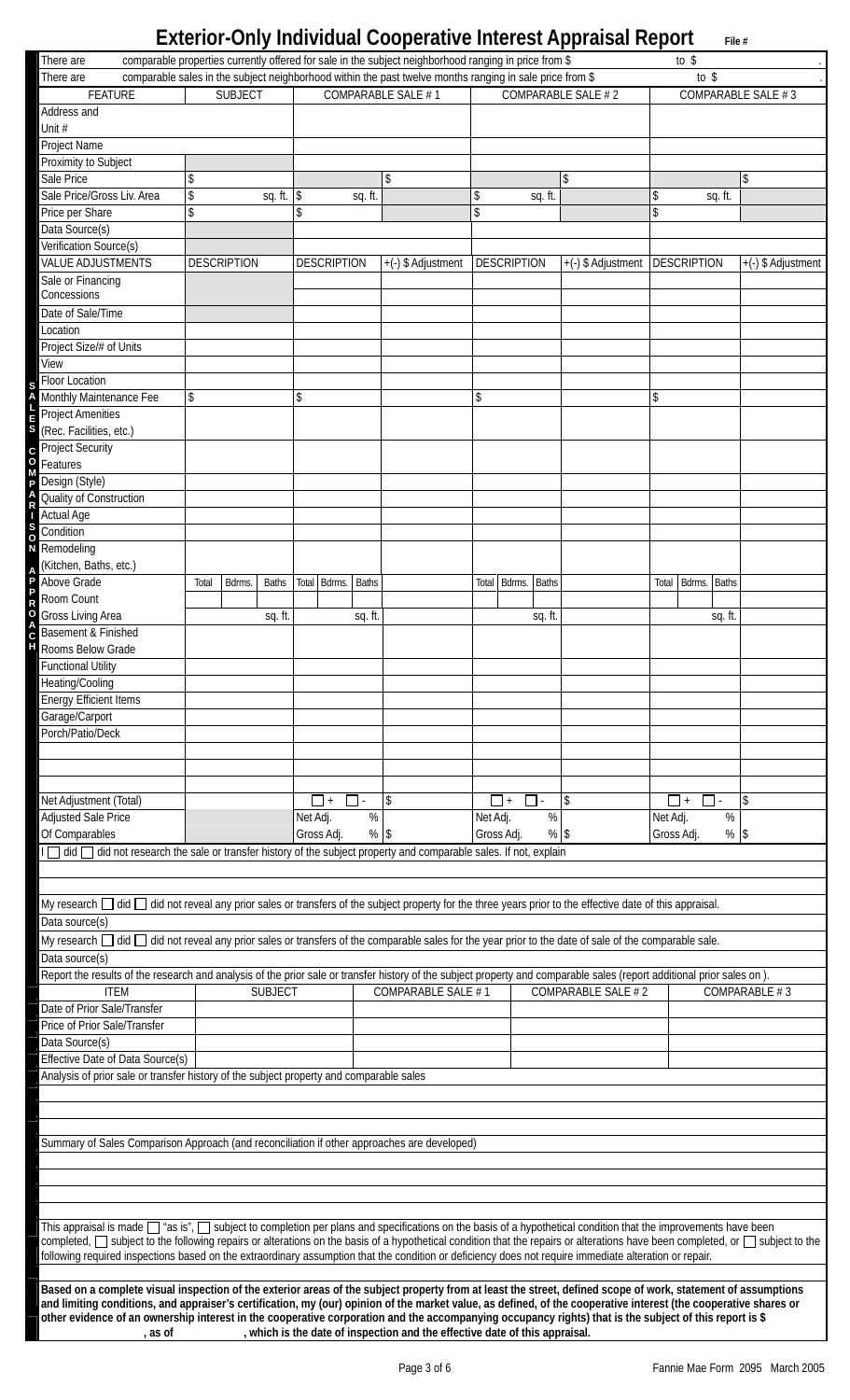## **Exterior-Only Individual Cooperative Interest Appraisal Report**

| EXICITOL-OTITY THUIVIQUAT COOPERATIVE THIEFEST APPHAISAL REPORT<br>File #<br>comparable properties currently offered for sale in the subject neighborhood ranging in price from \$<br>There are<br>$to$ \$                                                                                                                               |                    |        |                    |                                 |              |                                                                             |                     |                        |                                  |                                         |                      |  |
|------------------------------------------------------------------------------------------------------------------------------------------------------------------------------------------------------------------------------------------------------------------------------------------------------------------------------------------|--------------------|--------|--------------------|---------------------------------|--------------|-----------------------------------------------------------------------------|---------------------|------------------------|----------------------------------|-----------------------------------------|----------------------|--|
| There are<br>comparable sales in the subject neighborhood within the past twelve months ranging in sale price from \$                                                                                                                                                                                                                    |                    |        |                    |                                 |              |                                                                             |                     |                        |                                  | to $$$                                  |                      |  |
| <b>FEATURE</b><br><b>SUBJECT</b>                                                                                                                                                                                                                                                                                                         |                    |        | COMPARABLE SALE #1 |                                 |              |                                                                             |                     |                        | COMPARABLE SALE #3               |                                         |                      |  |
| Address and                                                                                                                                                                                                                                                                                                                              |                    |        |                    |                                 |              |                                                                             | COMPARABLE SALE # 2 |                        |                                  |                                         |                      |  |
| Unit #                                                                                                                                                                                                                                                                                                                                   |                    |        |                    |                                 |              |                                                                             |                     |                        |                                  |                                         |                      |  |
| Project Name                                                                                                                                                                                                                                                                                                                             |                    |        |                    |                                 |              |                                                                             |                     |                        |                                  |                                         |                      |  |
| Proximity to Subject                                                                                                                                                                                                                                                                                                                     |                    |        |                    |                                 |              |                                                                             |                     |                        |                                  |                                         |                      |  |
| Sale Price                                                                                                                                                                                                                                                                                                                               | \$                 |        |                    |                                 |              | \$                                                                          |                     |                        | \$                               |                                         | \$                   |  |
| Sale Price/Gross Liv. Area<br>Price per Share                                                                                                                                                                                                                                                                                            | \$<br>\$           |        | sq. ft.            | $\updownarrow$<br>$\mathsf{\$}$ | sq. ft.      |                                                                             | \$                  | sq. ft.                |                                  | \$<br>sq. ft.<br>$\mathbf{\hat{z}}$     |                      |  |
| Data Source(s)                                                                                                                                                                                                                                                                                                                           |                    |        |                    |                                 |              |                                                                             |                     |                        |                                  |                                         |                      |  |
| Verification Source(s)                                                                                                                                                                                                                                                                                                                   |                    |        |                    |                                 |              |                                                                             |                     |                        |                                  |                                         |                      |  |
| <b>VALUE ADJUSTMENTS</b>                                                                                                                                                                                                                                                                                                                 | <b>DESCRIPTION</b> |        |                    | <b>DESCRIPTION</b>              |              | +(-) \$ Adjustment                                                          | <b>DESCRIPTION</b>  |                        | +(-) \$ Adjustment   DESCRIPTION |                                         | $+(-)$ \$ Adjustment |  |
| Sale or Financing                                                                                                                                                                                                                                                                                                                        |                    |        |                    |                                 |              |                                                                             |                     |                        |                                  |                                         |                      |  |
| Concessions                                                                                                                                                                                                                                                                                                                              |                    |        |                    |                                 |              |                                                                             |                     |                        |                                  |                                         |                      |  |
| Date of Sale/Time                                                                                                                                                                                                                                                                                                                        |                    |        |                    |                                 |              |                                                                             |                     |                        |                                  |                                         |                      |  |
| Location                                                                                                                                                                                                                                                                                                                                 |                    |        |                    |                                 |              |                                                                             |                     |                        |                                  |                                         |                      |  |
| Project Size/# of Units                                                                                                                                                                                                                                                                                                                  |                    |        |                    |                                 |              |                                                                             |                     |                        |                                  |                                         |                      |  |
| View                                                                                                                                                                                                                                                                                                                                     |                    |        |                    |                                 |              |                                                                             |                     |                        |                                  |                                         |                      |  |
| Floor Location<br>Monthly Maintenance Fee                                                                                                                                                                                                                                                                                                | \$                 |        |                    | \$                              |              |                                                                             | \$                  |                        |                                  | \$                                      |                      |  |
| Project Amenities                                                                                                                                                                                                                                                                                                                        |                    |        |                    |                                 |              |                                                                             |                     |                        |                                  |                                         |                      |  |
| (Rec. Facilities, etc.)                                                                                                                                                                                                                                                                                                                  |                    |        |                    |                                 |              |                                                                             |                     |                        |                                  |                                         |                      |  |
| <b>Project Security</b>                                                                                                                                                                                                                                                                                                                  |                    |        |                    |                                 |              |                                                                             |                     |                        |                                  |                                         |                      |  |
| O<br>Features                                                                                                                                                                                                                                                                                                                            |                    |        |                    |                                 |              |                                                                             |                     |                        |                                  |                                         |                      |  |
| Design (Style)                                                                                                                                                                                                                                                                                                                           |                    |        |                    |                                 |              |                                                                             |                     |                        |                                  |                                         |                      |  |
| Quality of Construction                                                                                                                                                                                                                                                                                                                  |                    |        |                    |                                 |              |                                                                             |                     |                        |                                  |                                         |                      |  |
| Actual Age                                                                                                                                                                                                                                                                                                                               |                    |        |                    |                                 |              |                                                                             |                     |                        |                                  |                                         |                      |  |
| Condition                                                                                                                                                                                                                                                                                                                                |                    |        |                    |                                 |              |                                                                             |                     |                        |                                  |                                         |                      |  |
| Remodeling                                                                                                                                                                                                                                                                                                                               |                    |        |                    |                                 |              |                                                                             |                     |                        |                                  |                                         |                      |  |
| (Kitchen, Baths, etc.)<br>Above Grade                                                                                                                                                                                                                                                                                                    |                    | Bdrms. | <b>Baths</b>       | Total Bdrms.                    | <b>Baths</b> |                                                                             | Total               | Bdrms.<br><b>Baths</b> |                                  | Bdrms.                                  | <b>Baths</b>         |  |
| Room Count                                                                                                                                                                                                                                                                                                                               | Total              |        |                    |                                 |              |                                                                             |                     |                        |                                  | Total                                   |                      |  |
| Gross Living Area<br>o                                                                                                                                                                                                                                                                                                                   |                    |        | sq. ft             |                                 | sq. ft.      |                                                                             |                     | sq. ft.                |                                  |                                         | sq. ft.              |  |
| Basement & Finished                                                                                                                                                                                                                                                                                                                      |                    |        |                    |                                 |              |                                                                             |                     |                        |                                  |                                         |                      |  |
| Rooms Below Grade                                                                                                                                                                                                                                                                                                                        |                    |        |                    |                                 |              |                                                                             |                     |                        |                                  |                                         |                      |  |
| Functional Utility                                                                                                                                                                                                                                                                                                                       |                    |        |                    |                                 |              |                                                                             |                     |                        |                                  |                                         |                      |  |
| Heating/Cooling                                                                                                                                                                                                                                                                                                                          |                    |        |                    |                                 |              |                                                                             |                     |                        |                                  |                                         |                      |  |
| <b>Energy Efficient Items</b>                                                                                                                                                                                                                                                                                                            |                    |        |                    |                                 |              |                                                                             |                     |                        |                                  |                                         |                      |  |
| Garage/Carport                                                                                                                                                                                                                                                                                                                           |                    |        |                    |                                 |              |                                                                             |                     |                        |                                  |                                         |                      |  |
| Porch/Patio/Deck                                                                                                                                                                                                                                                                                                                         |                    |        |                    |                                 |              |                                                                             |                     |                        |                                  |                                         |                      |  |
|                                                                                                                                                                                                                                                                                                                                          |                    |        |                    |                                 |              |                                                                             |                     |                        |                                  |                                         |                      |  |
|                                                                                                                                                                                                                                                                                                                                          |                    |        |                    |                                 |              |                                                                             |                     |                        |                                  |                                         |                      |  |
| Net Adjustment (Total)                                                                                                                                                                                                                                                                                                                   |                    |        |                    | $+$<br>$\blacksquare$           | $\sim$       | \$                                                                          | $+$                 |                        | \$                               | $  \cdot  $<br>$\blacksquare$<br>$\sim$ | \$                   |  |
| Adjusted Sale Price                                                                                                                                                                                                                                                                                                                      |                    |        |                    | Net Adj.                        | %            |                                                                             | Net Adj.            | $\%$                   |                                  | Net Adj.                                | $\%$                 |  |
| Of Comparables                                                                                                                                                                                                                                                                                                                           |                    |        |                    | Gross Adj.                      | %            | \$                                                                          | Gross Adj.          |                        | $%$ \$                           | Gross Adj.                              | %<br>\$              |  |
| I idid id idio ot research the sale or transfer history of the subject property and comparable sales. If not, explain                                                                                                                                                                                                                    |                    |        |                    |                                 |              |                                                                             |                     |                        |                                  |                                         |                      |  |
|                                                                                                                                                                                                                                                                                                                                          |                    |        |                    |                                 |              |                                                                             |                     |                        |                                  |                                         |                      |  |
|                                                                                                                                                                                                                                                                                                                                          |                    |        |                    |                                 |              |                                                                             |                     |                        |                                  |                                         |                      |  |
| My research I did I did not reveal any prior sales or transfers of the subject property for the three years prior to the effective date of this appraisal.                                                                                                                                                                               |                    |        |                    |                                 |              |                                                                             |                     |                        |                                  |                                         |                      |  |
| Data source(s)                                                                                                                                                                                                                                                                                                                           |                    |        |                    |                                 |              |                                                                             |                     |                        |                                  |                                         |                      |  |
| My research I did I did not reveal any prior sales or transfers of the comparable sales for the year prior to the date of sale of the comparable sale.<br>Data source(s)                                                                                                                                                                 |                    |        |                    |                                 |              |                                                                             |                     |                        |                                  |                                         |                      |  |
| Report the results of the research and analysis of the prior sale or transfer history of the subject property and comparable sales (report additional prior sales on).                                                                                                                                                                   |                    |        |                    |                                 |              |                                                                             |                     |                        |                                  |                                         |                      |  |
| <b>ITEM</b>                                                                                                                                                                                                                                                                                                                              |                    |        | <b>SUBJECT</b>     |                                 |              | COMPARABLE SALE #1                                                          |                     |                        | COMPARABLE SALE # 2              |                                         | COMPARABLE #3        |  |
| Date of Prior Sale/Transfer                                                                                                                                                                                                                                                                                                              |                    |        |                    |                                 |              |                                                                             |                     |                        |                                  |                                         |                      |  |
| Price of Prior Sale/Transfer                                                                                                                                                                                                                                                                                                             |                    |        |                    |                                 |              |                                                                             |                     |                        |                                  |                                         |                      |  |
| Data Source(s)                                                                                                                                                                                                                                                                                                                           |                    |        |                    |                                 |              |                                                                             |                     |                        |                                  |                                         |                      |  |
| Effective Date of Data Source(s)                                                                                                                                                                                                                                                                                                         |                    |        |                    |                                 |              |                                                                             |                     |                        |                                  |                                         |                      |  |
| Analysis of prior sale or transfer history of the subject property and comparable sales                                                                                                                                                                                                                                                  |                    |        |                    |                                 |              |                                                                             |                     |                        |                                  |                                         |                      |  |
|                                                                                                                                                                                                                                                                                                                                          |                    |        |                    |                                 |              |                                                                             |                     |                        |                                  |                                         |                      |  |
|                                                                                                                                                                                                                                                                                                                                          |                    |        |                    |                                 |              |                                                                             |                     |                        |                                  |                                         |                      |  |
|                                                                                                                                                                                                                                                                                                                                          |                    |        |                    |                                 |              |                                                                             |                     |                        |                                  |                                         |                      |  |
| Summary of Sales Comparison Approach (and reconciliation if other approaches are developed)                                                                                                                                                                                                                                              |                    |        |                    |                                 |              |                                                                             |                     |                        |                                  |                                         |                      |  |
|                                                                                                                                                                                                                                                                                                                                          |                    |        |                    |                                 |              |                                                                             |                     |                        |                                  |                                         |                      |  |
|                                                                                                                                                                                                                                                                                                                                          |                    |        |                    |                                 |              |                                                                             |                     |                        |                                  |                                         |                      |  |
|                                                                                                                                                                                                                                                                                                                                          |                    |        |                    |                                 |              |                                                                             |                     |                        |                                  |                                         |                      |  |
| This appraisal is made $\Box$ "as is", $\Box$ subject to completion per plans and specifications on the basis of a hypothetical condition that the improvements have been                                                                                                                                                                |                    |        |                    |                                 |              |                                                                             |                     |                        |                                  |                                         |                      |  |
| completed, □ subject to the following repairs or alterations on the basis of a hypothetical condition that the repairs or alterations have been completed, or □ subject to the<br>following required inspections based on the extraordinary assumption that the condition or deficiency does not require immediate alteration or repair. |                    |        |                    |                                 |              |                                                                             |                     |                        |                                  |                                         |                      |  |
|                                                                                                                                                                                                                                                                                                                                          |                    |        |                    |                                 |              |                                                                             |                     |                        |                                  |                                         |                      |  |
| Based on a complete visual inspection of the exterior areas of the subject property from at least the street, defined scope of work, statement of assumptions                                                                                                                                                                            |                    |        |                    |                                 |              |                                                                             |                     |                        |                                  |                                         |                      |  |
| and limiting conditions, and appraiser's certification, my (our) opinion of the market value, as defined, of the cooperative interest (the cooperative shares or                                                                                                                                                                         |                    |        |                    |                                 |              |                                                                             |                     |                        |                                  |                                         |                      |  |
| other evidence of an ownership interest in the cooperative corporation and the accompanying occupancy rights) that is the subject of this report is \$<br>, as of                                                                                                                                                                        |                    |        |                    |                                 |              | , which is the date of inspection and the effective date of this appraisal. |                     |                        |                                  |                                         |                      |  |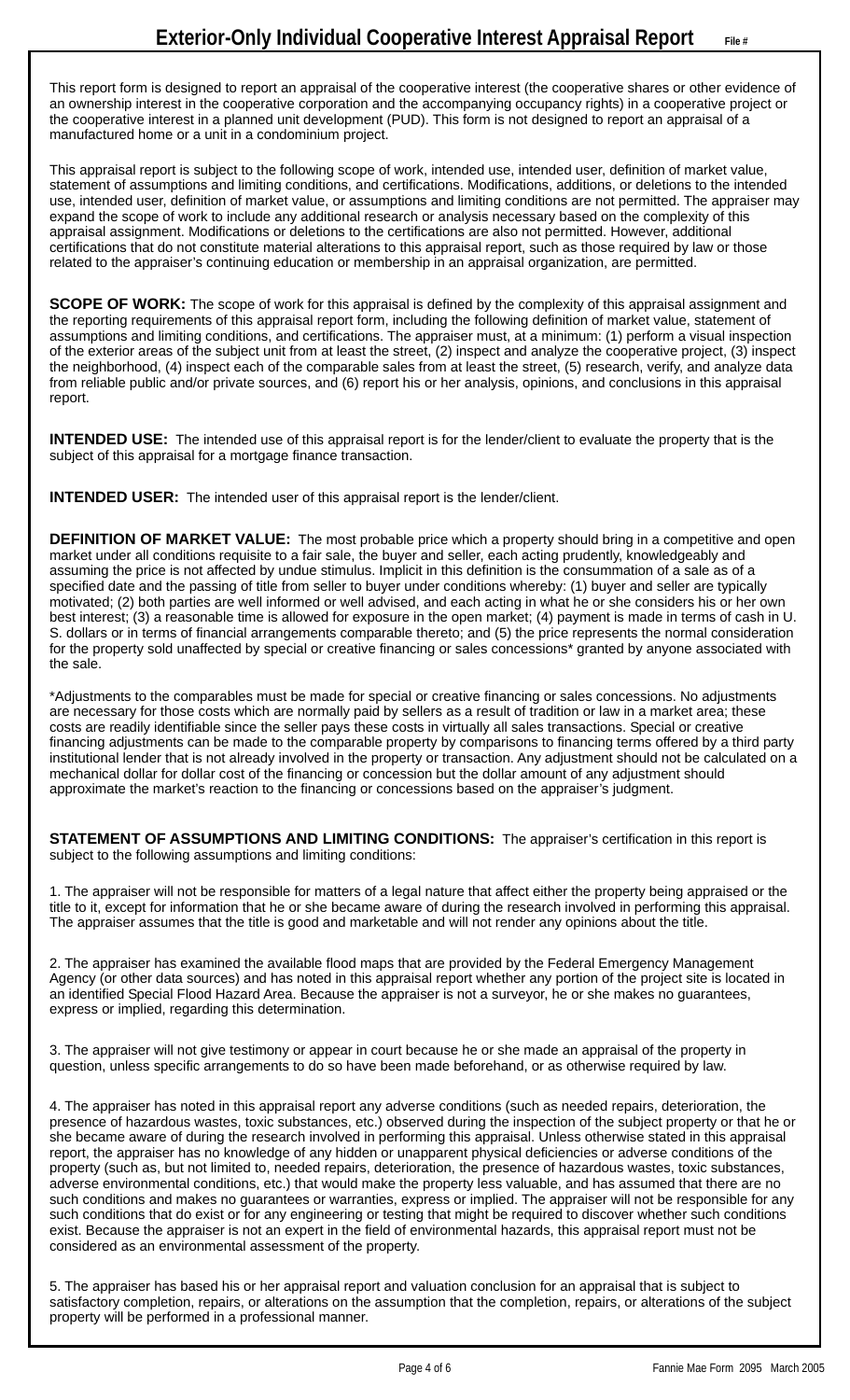This report form is designed to report an appraisal of the cooperative interest (the cooperative shares or other evidence of an ownership interest in the cooperative corporation and the accompanying occupancy rights) in a cooperative project or the cooperative interest in a planned unit development (PUD). This form is not designed to report an appraisal of a manufactured home or a unit in a condominium project.

This appraisal report is subject to the following scope of work, intended use, intended user, definition of market value, statement of assumptions and limiting conditions, and certifications. Modifications, additions, or deletions to the intended use, intended user, definition of market value, or assumptions and limiting conditions are not permitted. The appraiser may expand the scope of work to include any additional research or analysis necessary based on the complexity of this appraisal assignment. Modifications or deletions to the certifications are also not permitted. However, additional certifications that do not constitute material alterations to this appraisal report, such as those required by law or those related to the appraiser's continuing education or membership in an appraisal organization, are permitted.

**SCOPE OF WORK:** The scope of work for this appraisal is defined by the complexity of this appraisal assignment and the reporting requirements of this appraisal report form, including the following definition of market value, statement of assumptions and limiting conditions, and certifications. The appraiser must, at a minimum: (1) perform a visual inspection of the exterior areas of the subject unit from at least the street, (2) inspect and analyze the cooperative project, (3) inspect the neighborhood, (4) inspect each of the comparable sales from at least the street, (5) research, verify, and analyze data from reliable public and/or private sources, and (6) report his or her analysis, opinions, and conclusions in this appraisal report.

**INTENDED USE:** The intended use of this appraisal report is for the lender/client to evaluate the property that is the subject of this appraisal for a mortgage finance transaction.

**INTENDED USER:** The intended user of this appraisal report is the lender/client.

**DEFINITION OF MARKET VALUE:** The most probable price which a property should bring in a competitive and open market under all conditions requisite to a fair sale, the buyer and seller, each acting prudently, knowledgeably and assuming the price is not affected by undue stimulus. Implicit in this definition is the consummation of a sale as of a specified date and the passing of title from seller to buyer under conditions whereby: (1) buyer and seller are typically motivated; (2) both parties are well informed or well advised, and each acting in what he or she considers his or her own best interest; (3) a reasonable time is allowed for exposure in the open market; (4) payment is made in terms of cash in U. S. dollars or in terms of financial arrangements comparable thereto; and (5) the price represents the normal consideration for the property sold unaffected by special or creative financing or sales concessions\* granted by anyone associated with the sale.

\*Adjustments to the comparables must be made for special or creative financing or sales concessions. No adjustments are necessary for those costs which are normally paid by sellers as a result of tradition or law in a market area; these costs are readily identifiable since the seller pays these costs in virtually all sales transactions. Special or creative financing adjustments can be made to the comparable property by comparisons to financing terms offered by a third party institutional lender that is not already involved in the property or transaction. Any adjustment should not be calculated on a mechanical dollar for dollar cost of the financing or concession but the dollar amount of any adjustment should approximate the market's reaction to the financing or concessions based on the appraiser's judgment.

**STATEMENT OF ASSUMPTIONS AND LIMITING CONDITIONS:** The appraiser's certification in this report is subject to the following assumptions and limiting conditions:

1. The appraiser will not be responsible for matters of a legal nature that affect either the property being appraised or the title to it, except for information that he or she became aware of during the research involved in performing this appraisal. The appraiser assumes that the title is good and marketable and will not render any opinions about the title.

2. The appraiser has examined the available flood maps that are provided by the Federal Emergency Management Agency (or other data sources) and has noted in this appraisal report whether any portion of the project site is located in an identified Special Flood Hazard Area. Because the appraiser is not a surveyor, he or she makes no guarantees, express or implied, regarding this determination.

3. The appraiser will not give testimony or appear in court because he or she made an appraisal of the property in question, unless specific arrangements to do so have been made beforehand, or as otherwise required by law.

4. The appraiser has noted in this appraisal report any adverse conditions (such as needed repairs, deterioration, the presence of hazardous wastes, toxic substances, etc.) observed during the inspection of the subject property or that he or she became aware of during the research involved in performing this appraisal. Unless otherwise stated in this appraisal report, the appraiser has no knowledge of any hidden or unapparent physical deficiencies or adverse conditions of the property (such as, but not limited to, needed repairs, deterioration, the presence of hazardous wastes, toxic substances, adverse environmental conditions, etc.) that would make the property less valuable, and has assumed that there are no such conditions and makes no guarantees or warranties, express or implied. The appraiser will not be responsible for any such conditions that do exist or for any engineering or testing that might be required to discover whether such conditions exist. Because the appraiser is not an expert in the field of environmental hazards, this appraisal report must not be considered as an environmental assessment of the property.

5. The appraiser has based his or her appraisal report and valuation conclusion for an appraisal that is subject to satisfactory completion, repairs, or alterations on the assumption that the completion, repairs, or alterations of the subject property will be performed in a professional manner.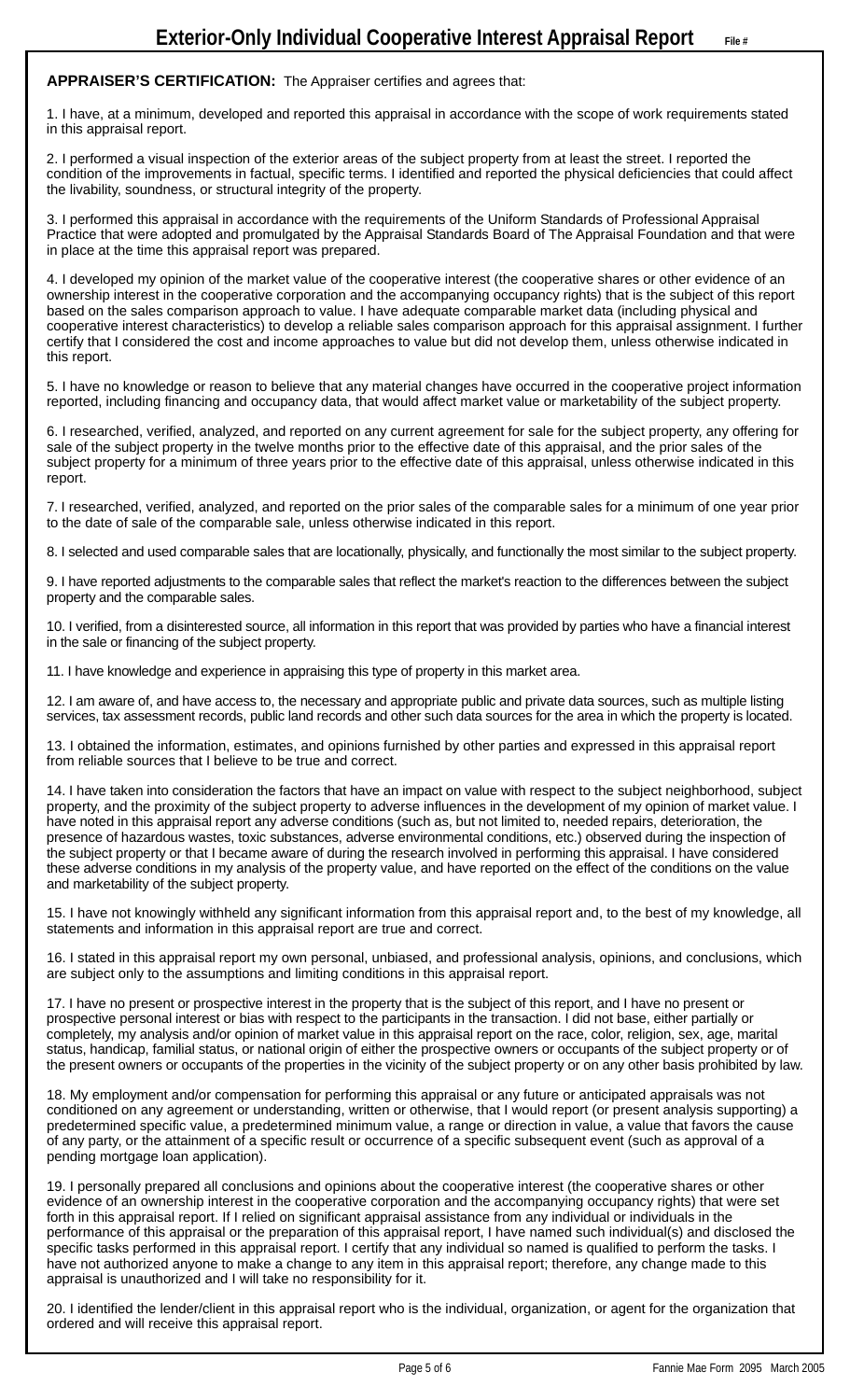1. I have, at a minimum, developed and reported this appraisal in accordance with the scope of work requirements stated in this appraisal report.

2. I performed a visual inspection of the exterior areas of the subject property from at least the street. I reported the condition of the improvements in factual, specific terms. I identified and reported the physical deficiencies that could affect the livability, soundness, or structural integrity of the property.

3. I performed this appraisal in accordance with the requirements of the Uniform Standards of Professional Appraisal Practice that were adopted and promulgated by the Appraisal Standards Board of The Appraisal Foundation and that were in place at the time this appraisal report was prepared.

4. I developed my opinion of the market value of the cooperative interest (the cooperative shares or other evidence of an ownership interest in the cooperative corporation and the accompanying occupancy rights) that is the subject of this report based on the sales comparison approach to value. I have adequate comparable market data (including physical and cooperative interest characteristics) to develop a reliable sales comparison approach for this appraisal assignment. I further certify that I considered the cost and income approaches to value but did not develop them, unless otherwise indicated in this report.

5. I have no knowledge or reason to believe that any material changes have occurred in the cooperative project information reported, including financing and occupancy data, that would affect market value or marketability of the subject property.

6. I researched, verified, analyzed, and reported on any current agreement for sale for the subject property, any offering for sale of the subject property in the twelve months prior to the effective date of this appraisal, and the prior sales of the subject property for a minimum of three years prior to the effective date of this appraisal, unless otherwise indicated in this report.

7. I researched, verified, analyzed, and reported on the prior sales of the comparable sales for a minimum of one year prior to the date of sale of the comparable sale, unless otherwise indicated in this report.

8. I selected and used comparable sales that are locationally, physically, and functionally the most similar to the subject property.

9. I have reported adjustments to the comparable sales that reflect the market's reaction to the differences between the subject property and the comparable sales.

10. I verified, from a disinterested source, all information in this report that was provided by parties who have a financial interest in the sale or financing of the subject property.

11. I have knowledge and experience in appraising this type of property in this market area.

12. I am aware of, and have access to, the necessary and appropriate public and private data sources, such as multiple listing services, tax assessment records, public land records and other such data sources for the area in which the property is located.

13. I obtained the information, estimates, and opinions furnished by other parties and expressed in this appraisal report from reliable sources that I believe to be true and correct.

14. I have taken into consideration the factors that have an impact on value with respect to the subject neighborhood, subject property, and the proximity of the subject property to adverse influences in the development of my opinion of market value. I have noted in this appraisal report any adverse conditions (such as, but not limited to, needed repairs, deterioration, the presence of hazardous wastes, toxic substances, adverse environmental conditions, etc.) observed during the inspection of the subject property or that I became aware of during the research involved in performing this appraisal. I have considered these adverse conditions in my analysis of the property value, and have reported on the effect of the conditions on the value and marketability of the subject property.

15. I have not knowingly withheld any significant information from this appraisal report and, to the best of my knowledge, all statements and information in this appraisal report are true and correct.

16. I stated in this appraisal report my own personal, unbiased, and professional analysis, opinions, and conclusions, which are subject only to the assumptions and limiting conditions in this appraisal report.

17. I have no present or prospective interest in the property that is the subject of this report, and I have no present or prospective personal interest or bias with respect to the participants in the transaction. I did not base, either partially or completely, my analysis and/or opinion of market value in this appraisal report on the race, color, religion, sex, age, marital status, handicap, familial status, or national origin of either the prospective owners or occupants of the subject property or of the present owners or occupants of the properties in the vicinity of the subject property or on any other basis prohibited by law.

18. My employment and/or compensation for performing this appraisal or any future or anticipated appraisals was not conditioned on any agreement or understanding, written or otherwise, that I would report (or present analysis supporting) a predetermined specific value, a predetermined minimum value, a range or direction in value, a value that favors the cause of any party, or the attainment of a specific result or occurrence of a specific subsequent event (such as approval of a pending mortgage loan application).

19. I personally prepared all conclusions and opinions about the cooperative interest (the cooperative shares or other evidence of an ownership interest in the cooperative corporation and the accompanying occupancy rights) that were set forth in this appraisal report. If I relied on significant appraisal assistance from any individual or individuals in the performance of this appraisal or the preparation of this appraisal report, I have named such individual(s) and disclosed the specific tasks performed in this appraisal report. I certify that any individual so named is qualified to perform the tasks. I have not authorized anyone to make a change to any item in this appraisal report; therefore, any change made to this appraisal is unauthorized and I will take no responsibility for it.

20. I identified the lender/client in this appraisal report who is the individual, organization, or agent for the organization that ordered and will receive this appraisal report.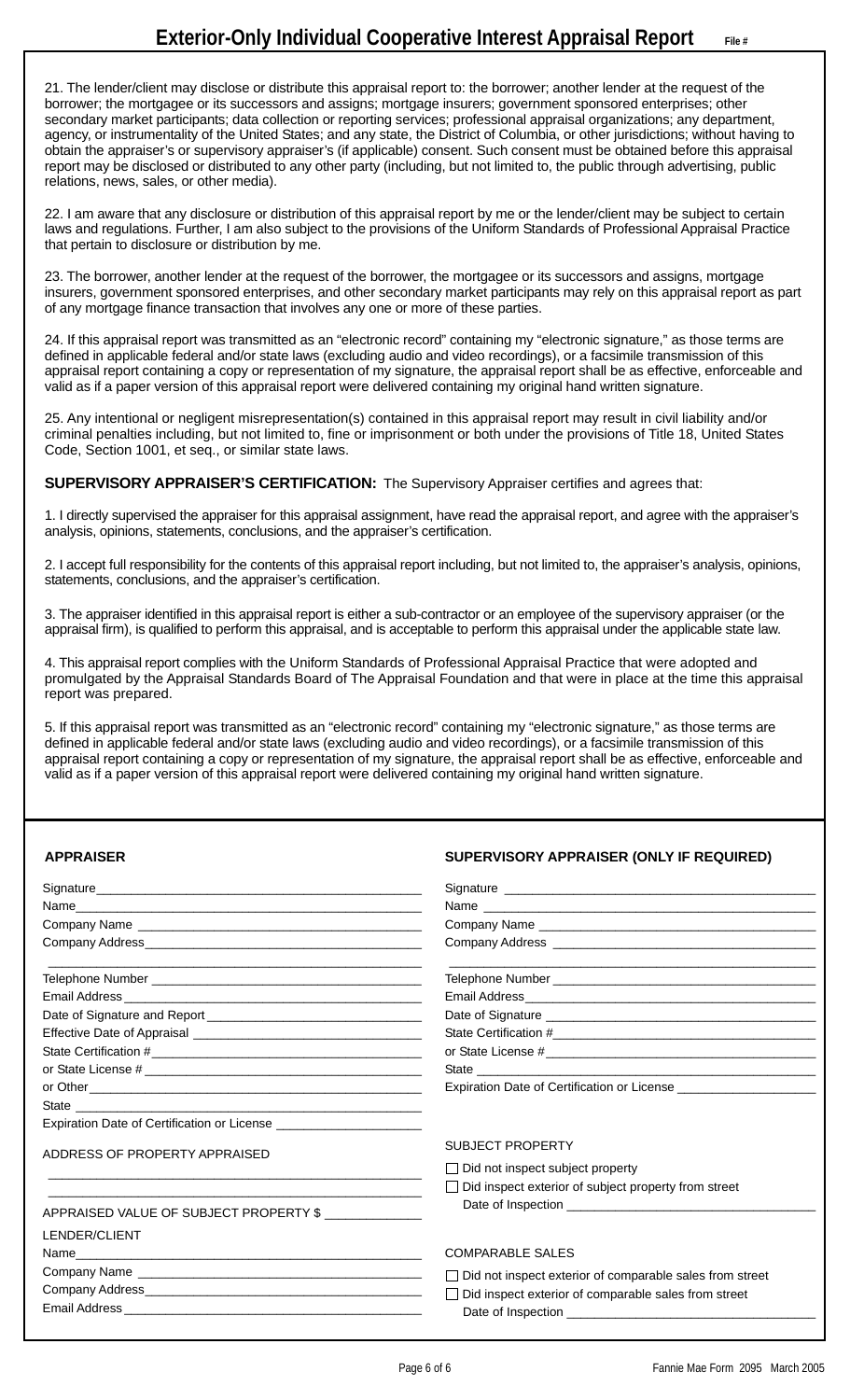21. The lender/client may disclose or distribute this appraisal report to: the borrower; another lender at the request of the borrower; the mortgagee or its successors and assigns; mortgage insurers; government sponsored enterprises; other secondary market participants; data collection or reporting services; professional appraisal organizations; any department, agency, or instrumentality of the United States; and any state, the District of Columbia, or other jurisdictions; without having to obtain the appraiser's or supervisory appraiser's (if applicable) consent. Such consent must be obtained before this appraisal report may be disclosed or distributed to any other party (including, but not limited to, the public through advertising, public relations, news, sales, or other media).

22. I am aware that any disclosure or distribution of this appraisal report by me or the lender/client may be subject to certain laws and regulations. Further, I am also subject to the provisions of the Uniform Standards of Professional Appraisal Practice that pertain to disclosure or distribution by me.

23. The borrower, another lender at the request of the borrower, the mortgagee or its successors and assigns, mortgage insurers, government sponsored enterprises, and other secondary market participants may rely on this appraisal report as part of any mortgage finance transaction that involves any one or more of these parties.

24. If this appraisal report was transmitted as an "electronic record" containing my "electronic signature," as those terms are defined in applicable federal and/or state laws (excluding audio and video recordings), or a facsimile transmission of this appraisal report containing a copy or representation of my signature, the appraisal report shall be as effective, enforceable and valid as if a paper version of this appraisal report were delivered containing my original hand written signature.

25. Any intentional or negligent misrepresentation(s) contained in this appraisal report may result in civil liability and/or criminal penalties including, but not limited to, fine or imprisonment or both under the provisions of Title 18, United States Code, Section 1001, et seq., or similar state laws.

**SUPERVISORY APPRAISER'S CERTIFICATION:** The Supervisory Appraiser certifies and agrees that:

1. I directly supervised the appraiser for this appraisal assignment, have read the appraisal report, and agree with the appraiser's analysis, opinions, statements, conclusions, and the appraiser's certification.

2. I accept full responsibility for the contents of this appraisal report including, but not limited to, the appraiser's analysis, opinions, statements, conclusions, and the appraiser's certification.

3. The appraiser identified in this appraisal report is either a sub-contractor or an employee of the supervisory appraiser (or the appraisal firm), is qualified to perform this appraisal, and is acceptable to perform this appraisal under the applicable state law.

4. This appraisal report complies with the Uniform Standards of Professional Appraisal Practice that were adopted and promulgated by the Appraisal Standards Board of The Appraisal Foundation and that were in place at the time this appraisal report was prepared.

5. If this appraisal report was transmitted as an "electronic record" containing my "electronic signature," as those terms are defined in applicable federal and/or state laws (excluding audio and video recordings), or a facsimile transmission of this appraisal report containing a copy or representation of my signature, the appraisal report shall be as effective, enforceable and valid as if a paper version of this appraisal report were delivered containing my original hand written signature.

### **APPRAISER**

## **SUPERVISORY APPRAISER (ONLY IF REQUIRED)**

|                                                                                                                                                                                                                               | Signature Signature and the state of the state of the state of the state of the state of the state of the state of the state of the state of the state of the state of the state of the state of the state of the state of the |  |  |  |  |  |
|-------------------------------------------------------------------------------------------------------------------------------------------------------------------------------------------------------------------------------|--------------------------------------------------------------------------------------------------------------------------------------------------------------------------------------------------------------------------------|--|--|--|--|--|
|                                                                                                                                                                                                                               |                                                                                                                                                                                                                                |  |  |  |  |  |
| Company Name experience and the company name of the company name of the company of the company of the company of the company of the company of the company of the company of the company of the company of the company of the | Company Name experience and the company name of the company name of the company of the company of the company of the company of the company of the company of the company of the company of the company of the company of the  |  |  |  |  |  |
|                                                                                                                                                                                                                               |                                                                                                                                                                                                                                |  |  |  |  |  |
|                                                                                                                                                                                                                               |                                                                                                                                                                                                                                |  |  |  |  |  |
|                                                                                                                                                                                                                               |                                                                                                                                                                                                                                |  |  |  |  |  |
|                                                                                                                                                                                                                               |                                                                                                                                                                                                                                |  |  |  |  |  |
|                                                                                                                                                                                                                               |                                                                                                                                                                                                                                |  |  |  |  |  |
|                                                                                                                                                                                                                               |                                                                                                                                                                                                                                |  |  |  |  |  |
|                                                                                                                                                                                                                               | State <b>State State State State State State State State State State State</b>                                                                                                                                                 |  |  |  |  |  |
|                                                                                                                                                                                                                               |                                                                                                                                                                                                                                |  |  |  |  |  |
|                                                                                                                                                                                                                               |                                                                                                                                                                                                                                |  |  |  |  |  |
|                                                                                                                                                                                                                               |                                                                                                                                                                                                                                |  |  |  |  |  |
| ADDRESS OF PROPERTY APPRAISED                                                                                                                                                                                                 | <b>SUBJECT PROPERTY</b>                                                                                                                                                                                                        |  |  |  |  |  |
|                                                                                                                                                                                                                               | Did not inspect subject property                                                                                                                                                                                               |  |  |  |  |  |
|                                                                                                                                                                                                                               | Did inspect exterior of subject property from street                                                                                                                                                                           |  |  |  |  |  |
| APPRAISED VALUE OF SUBJECT PROPERTY \$                                                                                                                                                                                        | Date of Inspection <b>Date of Instruction</b>                                                                                                                                                                                  |  |  |  |  |  |
| <b>LENDER/CLIENT</b>                                                                                                                                                                                                          |                                                                                                                                                                                                                                |  |  |  |  |  |
|                                                                                                                                                                                                                               | <b>COMPARABLE SALES</b>                                                                                                                                                                                                        |  |  |  |  |  |
|                                                                                                                                                                                                                               | $\Box$ Did not inspect exterior of comparable sales from street                                                                                                                                                                |  |  |  |  |  |
|                                                                                                                                                                                                                               | Did inspect exterior of comparable sales from street                                                                                                                                                                           |  |  |  |  |  |
|                                                                                                                                                                                                                               |                                                                                                                                                                                                                                |  |  |  |  |  |